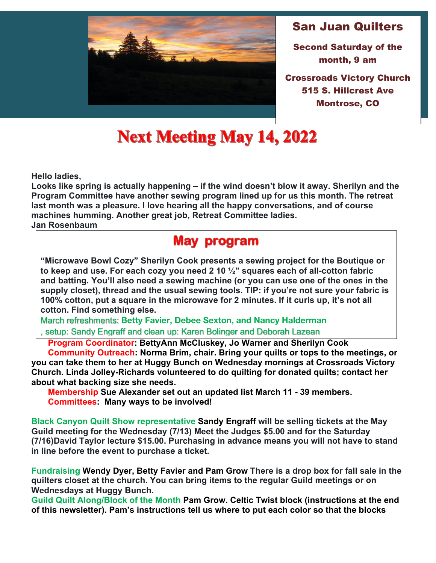

### San Juan Quilters

Second Saturday of the month, 9 am

Montrose, CO Crossroads Victory Church 515 S. Hillcrest Ave

# **Next Meeting May 14, 2022**

**Hello ladies,**

**Looks like spring is actually happening – if the wind doesn't blow it away. Sherilyn and the Program Committee have another sewing program lined up for us this month. The retreat last month was a pleasure. I love hearing all the happy conversations, and of course machines humming. Another great job, Retreat Committee ladies.**

**Jan Rosenbaum**

## **May program**

**"Microwave Bowl Cozy" Sherilyn Cook presents a sewing project for the Boutique or to keep and use. For each cozy you need 2 10 ½" squares each of all-cotton fabric and batting. You'll also need a sewing machine (or you can use one of the ones in the supply closet), thread and the usual sewing tools. TIP: if you're not sure your fabric is 100% cotton, put a square in the microwave for 2 minutes. If it curls up, it's not all cotton. Find something else.**

March refreshments: **Betty Favier, Debee Sexton, and Nancy Halderman** , setup: Sandy Engraff and clean up: Karen Bolinger and Deborah Lazean

 **Program Coordinator: BettyAnn McCluskey, Jo Warner and Sherilyn Cook** 

 **Community Outreach: Norma Brim, chair. Bring your quilts or tops to the meetings, or you can take them to her at Huggy Bunch on Wednesday mornings at Crossroads Victory Church. Linda Jolley-Richards volunteered to do quilting for donated quilts; contact her about what backing size she needs.** 

 **Membership Sue Alexander set out an updated list March 11 - 39 members. Committees: Many ways to be involved!**

**Black Canyon Quilt Show representative Sandy Engraff will be selling tickets at the May Guild meeting for the Wednesday (7/13) Meet the Judges \$5.00 and for the Saturday (7/16)David Taylor lecture \$15.00. Purchasing in advance means you will not have to stand in line before the event to purchase a ticket.**

**Fundraising Wendy Dyer, Betty Favier and Pam Grow There is a drop box for fall sale in the quilters closet at the church. You can bring items to the regular Guild meetings or on Wednesdays at Huggy Bunch.**

**Guild Quilt Along/Block of the Month Pam Grow. Celtic Twist block (instructions at the end of this newsletter). Pam's instructions tell us where to put each color so that the blocks**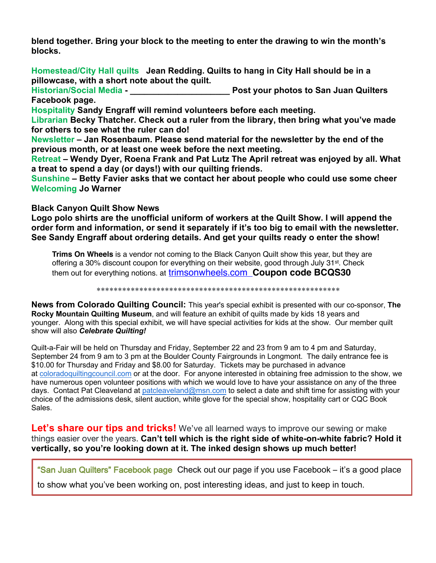**blend together. Bring your block to the meeting to enter the drawing to win the month's**  Forester, Carolyn, *Quilt As You Go: A Practical Guide to 14 Inspiring Techniques & Projects* **blocks.**  Berry, Ruth Ann, *Stunning 3-D Quilts Simplified* **Homestead/City Hall quilts Jean Redding. Quilts to hang in City Hall should be in a pillowcase, with a short note about the quilt. Historian/Social Media - \_\_\_\_\_\_\_\_\_\_\_\_\_\_\_\_\_\_\_\_\_ Post your photos to San Juan Quilters**  *Raffle Quilt Pattern for 2024 Needed* **Facebook page.**<br>Let a pattern that you think would make a good Raffle Quilt for 2024? Please share your Hospitality Sandy Engraff will ye mund volunteers before each meeting or Cheryl Yergler.) **Librarian Becky Thatcher. Check out a ruler from the library, then bring what you've made for others to see what the ruler can do! Newsfeltty Forms,and "Quilt Appraisal forms are available at hlackcanyongy the end of the** previous month, or at each diling fast of end the next meeting. **Retreat – Wendy Dyer, Roena Frank and Pat Lutz The April retreat was enjoyed by all. What**  a treat togs peolo Shirts (ened ay sh bivith out out ting Briends nyon Quilt Show. **Suns Orders Betty if Gaviernask is that we seen tact chercationes people who could**  $\|\cdot\|$ **Welcomormation Warneolo Shirt attachment. Payment by check, made to Black Black Canyon Quilt Show News** and please indicate an alternate color choice. **Logo polo shirts are the unofficial uniformy Stame Re Sandy Engraff by June 1 will all append to the light of the order form and information, or send it separately if it's too big to email with the newsletter. See Sandy Engraff about ordering details. And get your quilts ready o enter the show!** Vahl, Meri Henriques, *Create Landscape Quilts* Campbell, Berene, *From Collage to Quilt* Fassett, Kaffe, *Kaffe Fassett in the Studio, Behind the Scenes with a Master Colorist* Sider, Sandra, *Quarantine Quilts* Beaven, Elli, *Quilting 20 Playful Projects for the Modern Soul to Make* Chow, Wendy, *Urban Quilting: Quilt Patterns for the Modern Day Home* Canyon Quilt Show, must accompany your order. As with so many things today,

**Trims On Wheels** is a vendor not coming to the Black Canyon Quilt show this year, but they are offering a 30% discount coupon for everything on their website, good through July 31<sup>st</sup>. Check them out for everything notions. at trimsonwheels.com **Coupon code BCQS30**

\*\*\*\*\*\*\*\*\*\*\*\*\*\*\*\*\*\*\*\*\*\*\*\*\*\*\*\*\*\*\*\*\*\*\*\*\*\*\*\*\*\*\*\*\*\*\*\*\*\*\*\*\*\*\*\*\*

**News from Colorado Quilting Council:** This year's special exhibit is presented with our co-sponsor, **The Rocky Mountain Quilting Museum**, and will feature an exhibit of quilts made by kids 18 years and younger. Along with this special exhibit, we will have special activities for kids at the show. Our member quilt show will also *Celebrate Quilting!*

Quilt-a-Fair will be held on Thursday and Friday, September 22 and 23 from 9 am to 4 pm and Saturday, September 24 from 9 am to 3 pm at the Boulder County Fairgrounds in Longmont. The daily entrance fee is \$10.00 for Thursday and Friday and \$8.00 for Saturday<sup>Page</sup> Hets may be purchased in advance at coloradoquiltingcouncil.com or at the door. For anyone interested in obtaining free admission to the show, we have numerous open volunteer positions with which we would love to have your assistance on any of the three days. Contact Pat Cleaveland at patcleaveland@msn.com to select a date and shift time for assisting with your choice of the admissions desk, silent auction, white glove for the special show, hospitality cart or CQC Book Sales.

Let's share our tips and tricks! We've all learned ways to improve our sewing or make things easier over the years. **Can't tell which is the right side of white-on-white fabric? Hold it vertically, so you're looking down at it. The inked design shows up much better!**

"San Juan Quilters" Facebook page Check out our page if you use Facebook – it's a good place

**May Block of the Month: Celtic Twist** to show what you've been working on, post interesting ideas, and just to keep in touch.